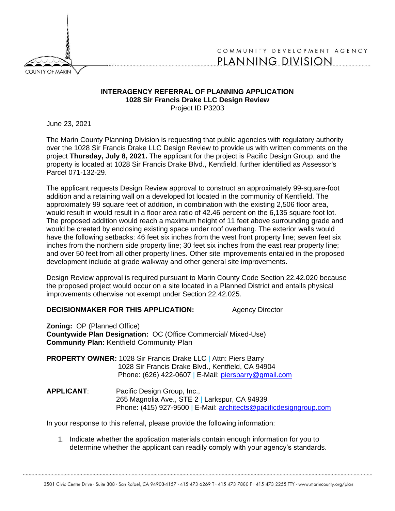

## COMMUNITY DEVELOPMENT AGENCY PLANNING DIVISION

## **INTERAGENCY REFERRAL OF PLANNING APPLICATION 1028 Sir Francis Drake LLC Design Review** Project ID P3203

June 23, 2021

The Marin County Planning Division is requesting that public agencies with regulatory authority over the 1028 Sir Francis Drake LLC Design Review to provide us with written comments on the project **Thursday, July 8, 2021.** The applicant for the project is Pacific Design Group, and the property is located at 1028 Sir Francis Drake Blvd., Kentfield, further identified as Assessor's Parcel 071-132-29.

The applicant requests Design Review approval to construct an approximately 99-square-foot addition and a retaining wall on a developed lot located in the community of Kentfield. The approximately 99 square feet of addition, in combination with the existing 2,506 floor area, would result in would result in a floor area ratio of 42.46 percent on the 6,135 square foot lot. The proposed addition would reach a maximum height of 11 feet above surrounding grade and would be created by enclosing existing space under roof overhang. The exterior walls would have the following setbacks: 46 feet six inches from the west front property line; seven feet six inches from the northern side property line; 30 feet six inches from the east rear property line; and over 50 feet from all other property lines. Other site improvements entailed in the proposed development include at grade walkway and other general site improvements.

Design Review approval is required pursuant to Marin County Code Section 22.42.020 because the proposed project would occur on a site located in a Planned District and entails physical improvements otherwise not exempt under Section 22.42.025.

## **DECISIONMAKER FOR THIS APPLICATION:** Agency Director

**Zoning:** OP (Planned Office) **Countywide Plan Designation:** OC (Office Commercial/ Mixed-Use) **Community Plan:** Kentfield Community Plan

- **PROPERTY OWNER:** 1028 Sir Francis Drake LLC | Attn: Piers Barry 1028 Sir Francis Drake Blvd., Kentfield, CA 94904 Phone: (626) 422-0607 | E-Mail: [piersbarry@gmail.com](mailto:piersbarry@gmail.com)
- **APPLICANT**: Pacific Design Group, Inc., 265 Magnolia Ave., STE 2 | Larkspur, CA 94939 Phone: (415) 927-9500 | E-Mail: [architects@pacificdesigngroup.com](mailto:architects@pacificdesigngroup.com)

In your response to this referral, please provide the following information:

1. Indicate whether the application materials contain enough information for you to determine whether the applicant can readily comply with your agency's standards.